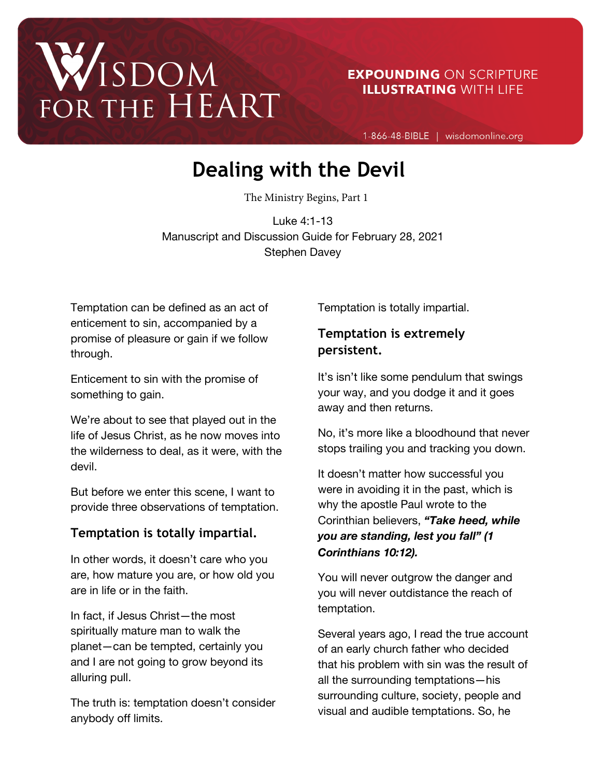# WISDOM FOR THE HEART

**EXPOUNDING ON SCRIPTURE ILLUSTRATING WITH LIFE** 

1-866-48-BIBLE | wisdomonline.org

# **Dealing with the Devil**

The Ministry Begins, Part 1

Luke 4:1-13 Manuscript and Discussion Guide for February 28, 2021 Stephen Davey

Temptation can be defined as an act of enticement to sin, accompanied by a promise of pleasure or gain if we follow through.

Enticement to sin with the promise of something to gain.

We're about to see that played out in the life of Jesus Christ, as he now moves into the wilderness to deal, as it were, with the devil.

But before we enter this scene, I want to provide three observations of temptation.

# **Temptation is totally impartial.**

In other words, it doesn't care who you are, how mature you are, or how old you are in life or in the faith.

In fact, if Jesus Christ—the most spiritually mature man to walk the planet—can be tempted, certainly you and I are not going to grow beyond its alluring pull.

The truth is: temptation doesn't consider anybody off limits.

Temptation is totally impartial.

# **Temptation is extremely persistent.**

It's isn't like some pendulum that swings your way, and you dodge it and it goes away and then returns.

No, it's more like a bloodhound that never stops trailing you and tracking you down.

It doesn't matter how successful you were in avoiding it in the past, which is why the apostle Paul wrote to the Corinthian believers, *"Take heed, while you are standing, lest you fall" (1 Corinthians 10:12).*

You will never outgrow the danger and you will never outdistance the reach of temptation.

Several years ago, I read the true account of an early church father who decided that his problem with sin was the result of all the surrounding temptations—his surrounding culture, society, people and visual and audible temptations. So, he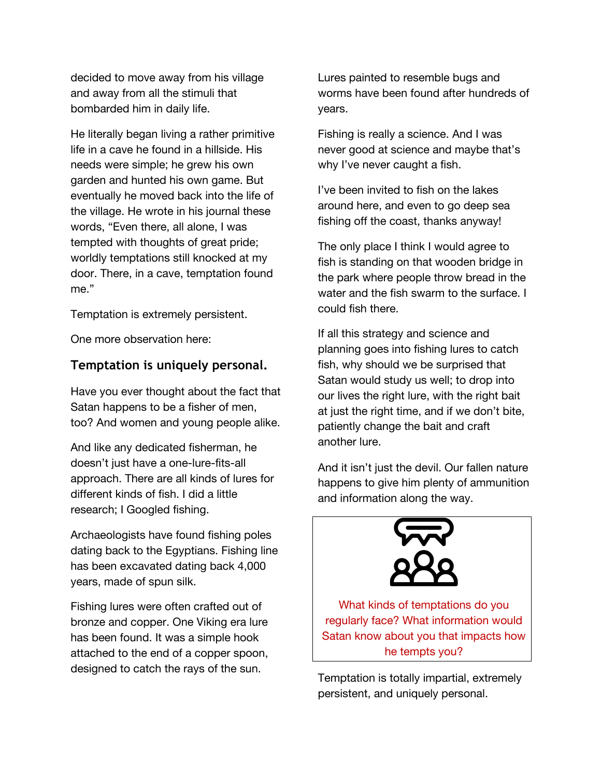decided to move away from his village and away from all the stimuli that bombarded him in daily life.

He literally began living a rather primitive life in a cave he found in a hillside. His needs were simple; he grew his own garden and hunted his own game. But eventually he moved back into the life of the village. He wrote in his journal these words, "Even there, all alone, I was tempted with thoughts of great pride; worldly temptations still knocked at my door. There, in a cave, temptation found me."

Temptation is extremely persistent.

One more observation here:

#### **Temptation is uniquely personal.**

Have you ever thought about the fact that Satan happens to be a fisher of men, too? And women and young people alike.

And like any dedicated fisherman, he doesn't just have a one-lure-fits-all approach. There are all kinds of lures for different kinds of fish. I did a little research; I Googled fishing.

Archaeologists have found fishing poles dating back to the Egyptians. Fishing line has been excavated dating back 4,000 years, made of spun silk.

Fishing lures were often crafted out of bronze and copper. One Viking era lure has been found. It was a simple hook attached to the end of a copper spoon, designed to catch the rays of the sun.

Lures painted to resemble bugs and worms have been found after hundreds of years.

Fishing is really a science. And I was never good at science and maybe that's why I've never caught a fish.

I've been invited to fish on the lakes around here, and even to go deep sea fishing off the coast, thanks anyway!

The only place I think I would agree to fish is standing on that wooden bridge in the park where people throw bread in the water and the fish swarm to the surface. I could fish there.

If all this strategy and science and planning goes into fishing lures to catch fish, why should we be surprised that Satan would study us well; to drop into our lives the right lure, with the right bait at just the right time, and if we don't bite, patiently change the bait and craft another lure.

And it isn't just the devil. Our fallen nature happens to give him plenty of ammunition and information along the way.



What kinds of temptations do you regularly face? What information would Satan know about you that impacts how he tempts you?

Temptation is totally impartial, extremely persistent, and uniquely personal.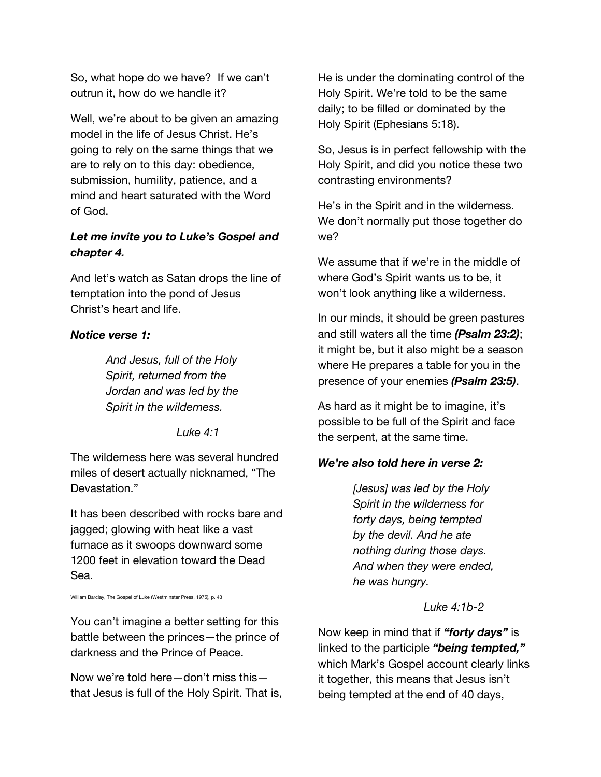So, what hope do we have? If we can't outrun it, how do we handle it?

Well, we're about to be given an amazing model in the life of Jesus Christ. He's going to rely on the same things that we are to rely on to this day: obedience, submission, humility, patience, and a mind and heart saturated with the Word of God.

# *Let me invite you to Luke's Gospel and chapter 4.*

And let's watch as Satan drops the line of temptation into the pond of Jesus Christ's heart and life.

#### *Notice verse 1:*

*And Jesus, full of the Holy Spirit, returned from the Jordan and was led by the Spirit in the wilderness.*

*Luke 4:1*

The wilderness here was several hundred miles of desert actually nicknamed, "The Devastation."

It has been described with rocks bare and jagged; glowing with heat like a vast furnace as it swoops downward some 1200 feet in elevation toward the Dead Sea.

William Barclay, The Gospel of Luke (Westminster Press, 1975), p. 43

You can't imagine a better setting for this battle between the princes—the prince of darkness and the Prince of Peace.

Now we're told here—don't miss this that Jesus is full of the Holy Spirit. That is, He is under the dominating control of the Holy Spirit. We're told to be the same daily; to be filled or dominated by the Holy Spirit (Ephesians 5:18).

So, Jesus is in perfect fellowship with the Holy Spirit, and did you notice these two contrasting environments?

He's in the Spirit and in the wilderness. We don't normally put those together do we?

We assume that if we're in the middle of where God's Spirit wants us to be, it won't look anything like a wilderness.

In our minds, it should be green pastures and still waters all the time *(Psalm 23:2)*; it might be, but it also might be a season where He prepares a table for you in the presence of your enemies *(Psalm 23:5)*.

As hard as it might be to imagine, it's possible to be full of the Spirit and face the serpent, at the same time.

# *We're also told here in verse 2:*

*[Jesus] was led by the Holy Spirit in the wilderness for forty days, being tempted by the devil. And he ate nothing during those days. And when they were ended, he was hungry.*

#### *Luke 4:1b-2*

Now keep in mind that if *"forty days"* is linked to the participle *"being tempted,"* which Mark's Gospel account clearly links it together, this means that Jesus isn't being tempted at the end of 40 days,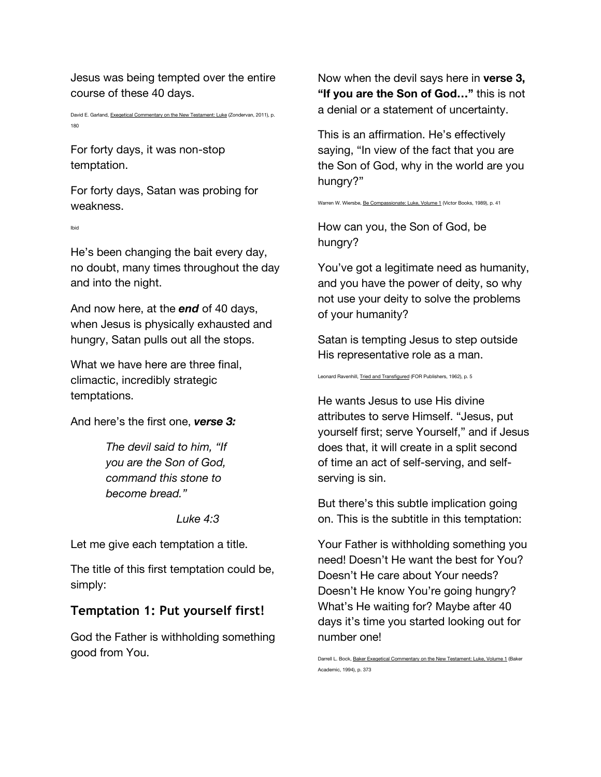Jesus was being tempted over the entire course of these 40 days.

David E. Garland, Exegetical Commentary on the New Testament: Luke (Zondervan, 2011), p. 180

For forty days, it was non-stop temptation.

For forty days, Satan was probing for weakness.

Ibid

He's been changing the bait every day, no doubt, many times throughout the day and into the night.

And now here, at the *end* of 40 days, when Jesus is physically exhausted and hungry, Satan pulls out all the stops.

What we have here are three final, climactic, incredibly strategic temptations.

And here's the first one, *verse 3:*

*The devil said to him, "If you are the Son of God, command this stone to become bread."*

*Luke 4:3*

Let me give each temptation a title.

The title of this first temptation could be, simply:

# **Temptation 1: Put yourself first!**

God the Father is withholding something good from You.

Now when the devil says here in **verse 3, "If you are the Son of God…"** this is not a denial or a statement of uncertainty.

This is an affirmation. He's effectively saying, "In view of the fact that you are the Son of God, why in the world are you hungry?"

Warren W. Wiersbe, Be Compassionate: Luke, Volume 1 (Victor Books, 1989), p. 41

How can you, the Son of God, be hungry?

You've got a legitimate need as humanity, and you have the power of deity, so why not use your deity to solve the problems of your humanity?

Satan is tempting Jesus to step outside His representative role as a man.

Leonard Ravenhill, Tried and Transfigured (FOR Publishers, 1962), p. 5

He wants Jesus to use His divine attributes to serve Himself. "Jesus, put yourself first; serve Yourself," and if Jesus does that, it will create in a split second of time an act of self-serving, and selfserving is sin.

But there's this subtle implication going on. This is the subtitle in this temptation:

Your Father is withholding something you need! Doesn't He want the best for You? Doesn't He care about Your needs? Doesn't He know You're going hungry? What's He waiting for? Maybe after 40 days it's time you started looking out for number one!

Darrell L. Bock, Baker Exegetical Commentary on the New Testament: Luke, Volume 1 (Baker Academic, 1994), p. 373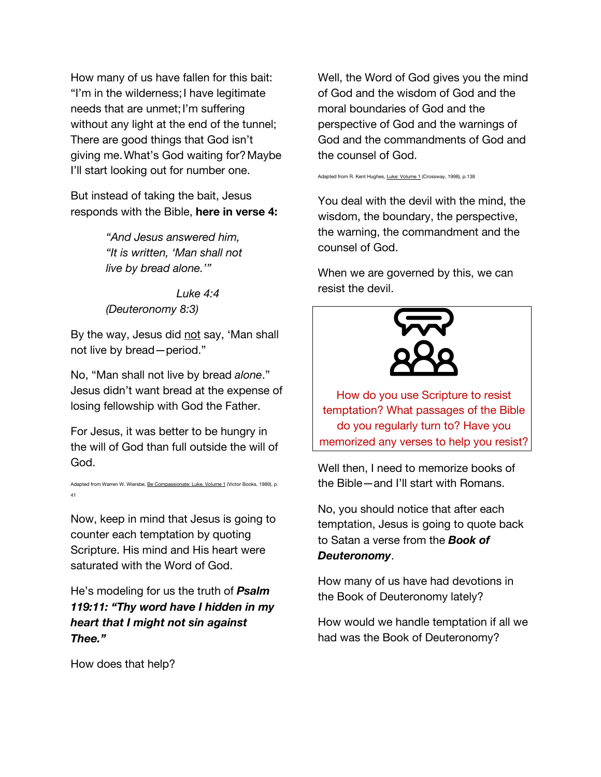How many of us have fallen for this bait: "I'm in the wilderness;I have legitimate needs that are unmet;I'm suffering without any light at the end of the tunnel; There are good things that God isn't giving me.What's God waiting for?Maybe I'll start looking out for number one.

But instead of taking the bait, Jesus responds with the Bible, **here in verse 4:**

> *"And Jesus answered him, "It is written, 'Man shall not live by bread alone.'"*

*Luke 4:4 (Deuteronomy 8:3)*

By the way, Jesus did not say, 'Man shall not live by bread—period."

No, "Man shall not live by bread *alone*." Jesus didn't want bread at the expense of losing fellowship with God the Father.

For Jesus, it was better to be hungry in the will of God than full outside the will of God.

Adapted from Warren W. Wiersbe, Be Compassionate: Luke, Volume 1 (Victor Books, 1989), p. 41

Now, keep in mind that Jesus is going to counter each temptation by quoting Scripture. His mind and His heart were saturated with the Word of God.

He's modeling for us the truth of *Psalm 119:11: "Thy word have I hidden in my heart that I might not sin against Thee."*

How does that help?

Well, the Word of God gives you the mind of God and the wisdom of God and the moral boundaries of God and the perspective of God and the warnings of God and the commandments of God and the counsel of God.

Adapted from R. Kent Hughes, Luke: Volume 1 (Crossway, 1998), p.138

You deal with the devil with the mind, the wisdom, the boundary, the perspective, the warning, the commandment and the counsel of God.

When we are governed by this, we can resist the devil.



How do you use Scripture to resist temptation? What passages of the Bible do you regularly turn to? Have you memorized any verses to help you resist?

Well then, I need to memorize books of the Bible—and I'll start with Romans.

No, you should notice that after each temptation, Jesus is going to quote back to Satan a verse from the *Book of Deuteronomy*.

How many of us have had devotions in the Book of Deuteronomy lately?

How would we handle temptation if all we had was the Book of Deuteronomy?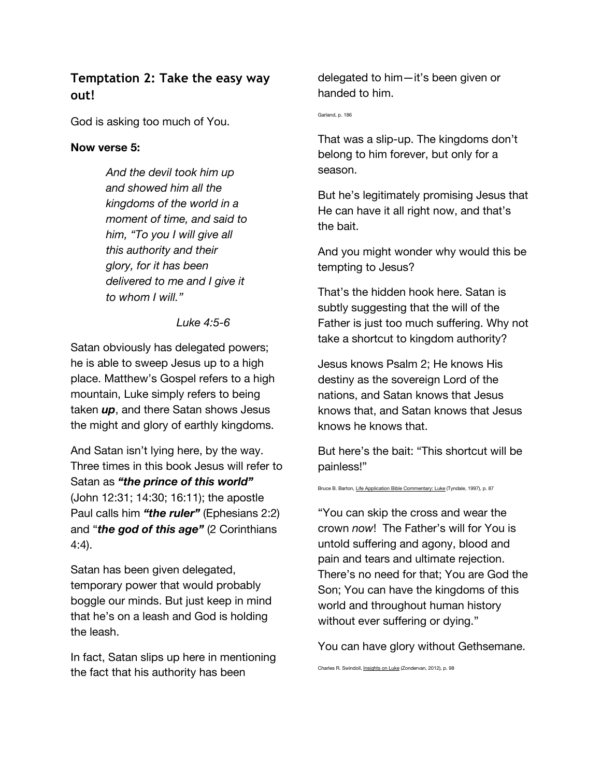# **Temptation 2: Take the easy way out!**

God is asking too much of You.

#### **Now verse 5:**

*And the devil took him up and showed him all the kingdoms of the world in a moment of time, and said to him, "To you I will give all this authority and their glory, for it has been delivered to me and I give it to whom I will."*

*Luke 4:5-6*

Satan obviously has delegated powers; he is able to sweep Jesus up to a high place. Matthew's Gospel refers to a high mountain, Luke simply refers to being taken *up*, and there Satan shows Jesus the might and glory of earthly kingdoms.

And Satan isn't lying here, by the way. Three times in this book Jesus will refer to Satan as *"the prince of this world"* (John 12:31; 14:30; 16:11); the apostle Paul calls him *"the ruler"* (Ephesians 2:2) and "*the god of this age"* (2 Corinthians 4:4).

Satan has been given delegated, temporary power that would probably boggle our minds. But just keep in mind that he's on a leash and God is holding the leash.

In fact, Satan slips up here in mentioning the fact that his authority has been

delegated to him—it's been given or handed to him.

Garland, p. 186

That was a slip-up. The kingdoms don't belong to him forever, but only for a season.

But he's legitimately promising Jesus that He can have it all right now, and that's the bait.

And you might wonder why would this be tempting to Jesus?

That's the hidden hook here. Satan is subtly suggesting that the will of the Father is just too much suffering. Why not take a shortcut to kingdom authority?

Jesus knows Psalm 2; He knows His destiny as the sovereign Lord of the nations, and Satan knows that Jesus knows that, and Satan knows that Jesus knows he knows that.

But here's the bait: "This shortcut will be painless!"

Bruce B. Barton, Life Application Bible Commentary: Luke (Tyndale, 1997), p. 87

"You can skip the cross and wear the crown *now*! The Father's will for You is untold suffering and agony, blood and pain and tears and ultimate rejection. There's no need for that; You are God the Son; You can have the kingdoms of this world and throughout human history without ever suffering or dying."

You can have glory without Gethsemane.

Charles R. Swindoll, Insights on Luke (Zondervan, 2012), p. 98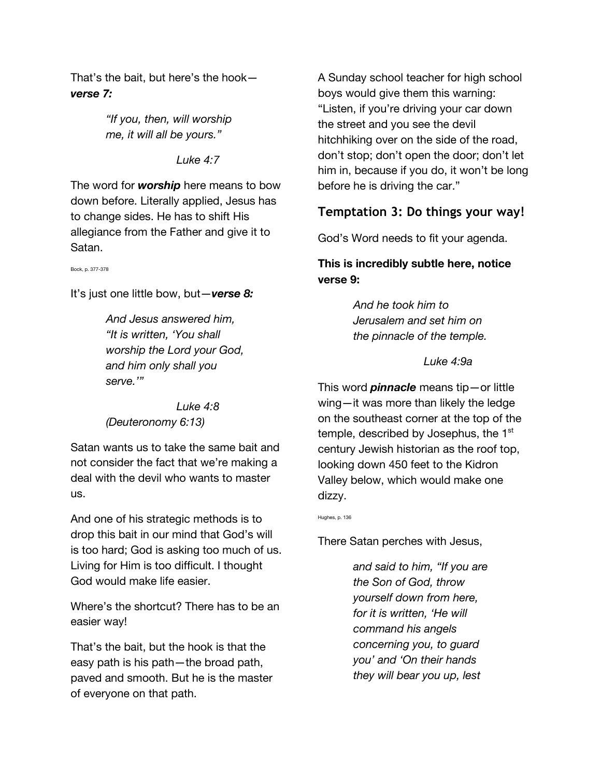That's the bait, but here's the hook *verse 7:*

> *"If you, then, will worship me, it will all be yours."*

#### *Luke 4:7*

The word for *worship* here means to bow down before. Literally applied, Jesus has to change sides. He has to shift His allegiance from the Father and give it to Satan.

Bock, p. 377-378

It's just one little bow, but—*verse 8:*

*And Jesus answered him, "It is written, 'You shall worship the Lord your God, and him only shall you serve.'"*

*Luke 4:8 (Deuteronomy 6:13)*

Satan wants us to take the same bait and not consider the fact that we're making a deal with the devil who wants to master us.

And one of his strategic methods is to drop this bait in our mind that God's will is too hard; God is asking too much of us. Living for Him is too difficult. I thought God would make life easier.

Where's the shortcut? There has to be an easier way!

That's the bait, but the hook is that the easy path is his path—the broad path, paved and smooth. But he is the master of everyone on that path.

A Sunday school teacher for high school boys would give them this warning: "Listen, if you're driving your car down the street and you see the devil hitchhiking over on the side of the road, don't stop; don't open the door; don't let him in, because if you do, it won't be long before he is driving the car."

# **Temptation 3: Do things your way!**

God's Word needs to fit your agenda.

# **This is incredibly subtle here, notice verse 9:**

*And he took him to Jerusalem and set him on the pinnacle of the temple.*

#### *Luke 4:9a*

This word *pinnacle* means tip—or little wing—it was more than likely the ledge on the southeast corner at the top of the temple, described by Josephus, the 1<sup>st</sup> century Jewish historian as the roof top, looking down 450 feet to the Kidron Valley below, which would make one dizzy.

Hughes, p. 136

There Satan perches with Jesus,

*and said to him, "If you are the Son of God, throw yourself down from here, for it is written, 'He will command his angels concerning you, to guard you' and 'On their hands they will bear you up, lest*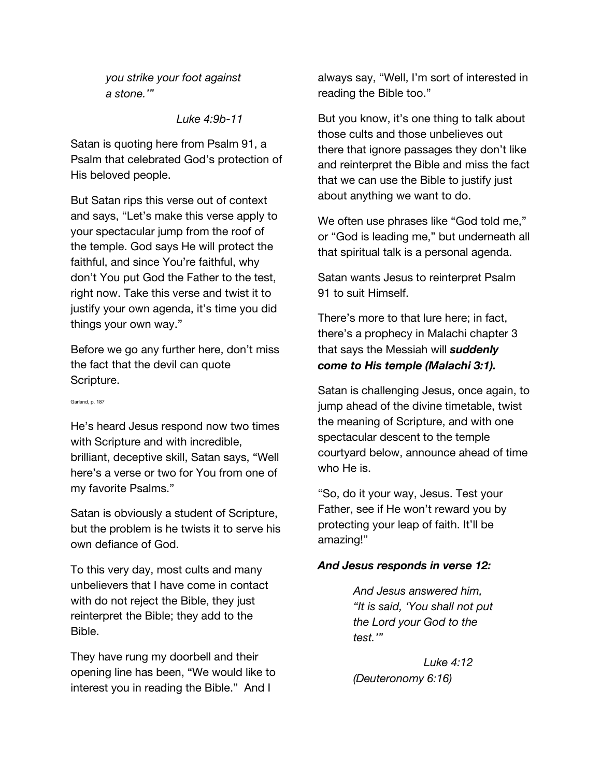*you strike your foot against a stone.'"*

*Luke 4:9b-11*

Satan is quoting here from Psalm 91, a Psalm that celebrated God's protection of His beloved people.

But Satan rips this verse out of context and says, "Let's make this verse apply to your spectacular jump from the roof of the temple. God says He will protect the faithful, and since You're faithful, why don't You put God the Father to the test, right now. Take this verse and twist it to justify your own agenda, it's time you did things your own way."

Before we go any further here, don't miss the fact that the devil can quote Scripture.

Garland, p. 187

He's heard Jesus respond now two times with Scripture and with incredible, brilliant, deceptive skill, Satan says, "Well here's a verse or two for You from one of my favorite Psalms."

Satan is obviously a student of Scripture, but the problem is he twists it to serve his own defiance of God.

To this very day, most cults and many unbelievers that I have come in contact with do not reject the Bible, they just reinterpret the Bible; they add to the Bible.

They have rung my doorbell and their opening line has been, "We would like to interest you in reading the Bible." And I

always say, "Well, I'm sort of interested in reading the Bible too."

But you know, it's one thing to talk about those cults and those unbelieves out there that ignore passages they don't like and reinterpret the Bible and miss the fact that we can use the Bible to justify just about anything we want to do.

We often use phrases like "God told me," or "God is leading me," but underneath all that spiritual talk is a personal agenda.

Satan wants Jesus to reinterpret Psalm 91 to suit Himself.

There's more to that lure here; in fact, there's a prophecy in Malachi chapter 3 that says the Messiah will *suddenly come to His temple (Malachi 3:1).* 

Satan is challenging Jesus, once again, to jump ahead of the divine timetable, twist the meaning of Scripture, and with one spectacular descent to the temple courtyard below, announce ahead of time who He is.

"So, do it your way, Jesus. Test your Father, see if He won't reward you by protecting your leap of faith. It'll be amazing!"

#### *And Jesus responds in verse 12:*

*And Jesus answered him, "It is said, 'You shall not put the Lord your God to the test.'"*

*Luke 4:12 (Deuteronomy 6:16)*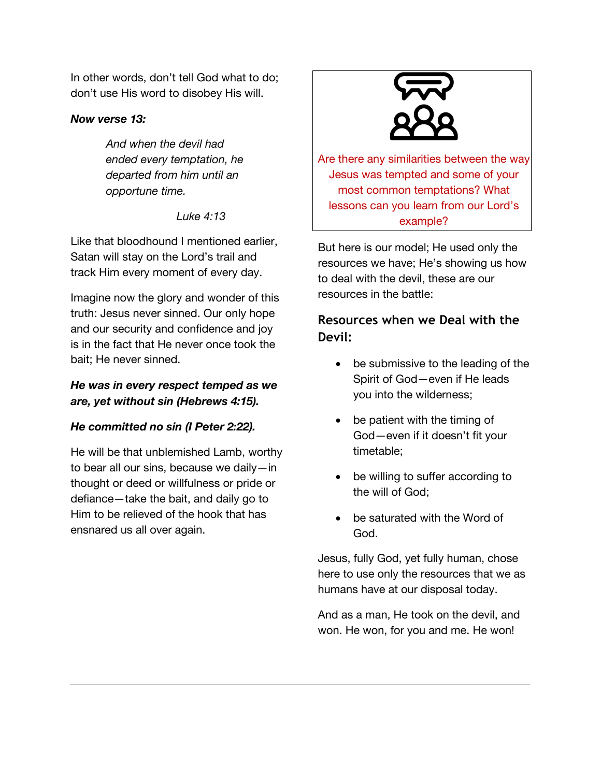In other words, don't tell God what to do; don't use His word to disobey His will.

#### *Now verse 13:*

*And when the devil had ended every temptation, he departed from him until an opportune time.*

*Luke 4:13*

Like that bloodhound I mentioned earlier, Satan will stay on the Lord's trail and track Him every moment of every day.

Imagine now the glory and wonder of this truth: Jesus never sinned. Our only hope and our security and confidence and joy is in the fact that He never once took the bait; He never sinned.

# *He was in every respect temped as we are, yet without sin (Hebrews 4:15).*

# *He committed no sin (I Peter 2:22).*

He will be that unblemished Lamb, worthy to bear all our sins, because we daily—in thought or deed or willfulness or pride or defiance—take the bait, and daily go to Him to be relieved of the hook that has ensnared us all over again.



Are there any similarities between the way Jesus was tempted and some of your most common temptations? What lessons can you learn from our Lord's example?

But here is our model; He used only the resources we have; He's showing us how to deal with the devil, these are our resources in the battle:

# **Resources when we Deal with the Devil:**

- be submissive to the leading of the Spirit of God—even if He leads you into the wilderness;
- be patient with the timing of God—even if it doesn't fit your timetable;
- be willing to suffer according to the will of God;
- be saturated with the Word of God.

Jesus, fully God, yet fully human, chose here to use only the resources that we as humans have at our disposal today.

And as a man, He took on the devil, and won. He won, for you and me. He won!